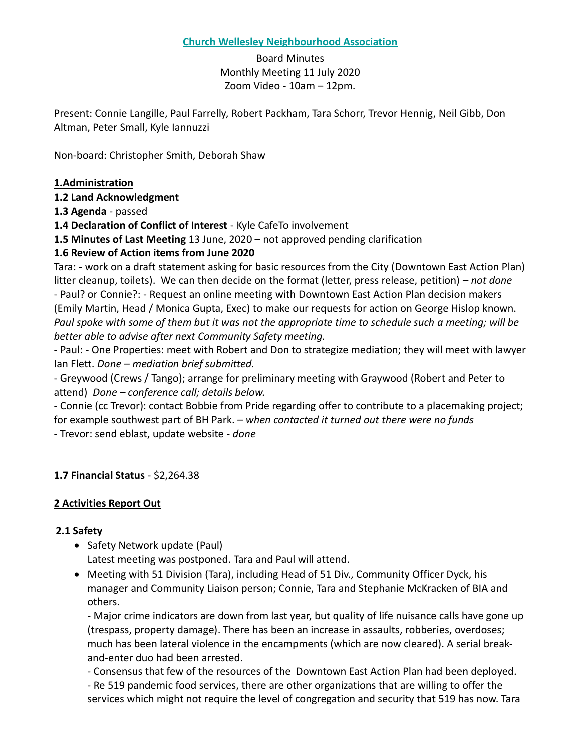#### **Church Wellesley Neighbourhood Association**

Board Minutes Monthly Meeting 11 July 2020 Zoom Video - 10am – 12pm.

Present: Connie Langille, Paul Farrelly, Robert Packham, Tara Schorr, Trevor Hennig, Neil Gibb, Don Altman, Peter Small, Kyle Iannuzzi

Non-board: Christopher Smith, Deborah Shaw

## **1.Administration**

**1.2 Land Acknowledgment** 

**1.3 Agenda** - passed

**1.4 Declaration of Conflict of Interest** - Kyle CafeTo involvement

**1.5 Minutes of Last Meeting** 13 June, 2020 – not approved pending clarification

# **1.6 Review of Action items from June 2020**

Tara: - work on a draft statement asking for basic resources from the City (Downtown East Action Plan) litter cleanup, toilets). We can then decide on the format (letter, press release, petition) – *not done* - Paul? or Connie?: - Request an online meeting with Downtown East Action Plan decision makers (Emily Martin, Head / Monica Gupta, Exec) to make our requests for action on George Hislop known. *Paul spoke with some of them but it was not the appropriate time to schedule such a meeting; will be better able to advise after next Community Safety meeting.* 

- Paul: - One Properties: meet with Robert and Don to strategize mediation; they will meet with lawyer Ian Flett. *Done – mediation brief submitted.*

- Greywood (Crews / Tango); arrange for preliminary meeting with Graywood (Robert and Peter to attend) *Done – conference call; details below.*

- Connie (cc Trevor): contact Bobbie from Pride regarding offer to contribute to a placemaking project; for example southwest part of BH Park. – *when contacted it turned out there were no funds* - Trevor: send eblast, update website - *done*

**1.7 Financial Status** - \$2,264.38

# **2 Activities Report Out**

# **2.1 Safety**

• Safety Network update (Paul)

Latest meeting was postponed. Tara and Paul will attend.

• Meeting with 51 Division (Tara), including Head of 51 Div., Community Officer Dyck, his manager and Community Liaison person; Connie, Tara and Stephanie McKracken of BIA and others.

- Major crime indicators are down from last year, but quality of life nuisance calls have gone up (trespass, property damage). There has been an increase in assaults, robberies, overdoses; much has been lateral violence in the encampments (which are now cleared). A serial breakand-enter duo had been arrested.

- Consensus that few of the resources of the Downtown East Action Plan had been deployed.

- Re 519 pandemic food services, there are other organizations that are willing to offer the services which might not require the level of congregation and security that 519 has now. Tara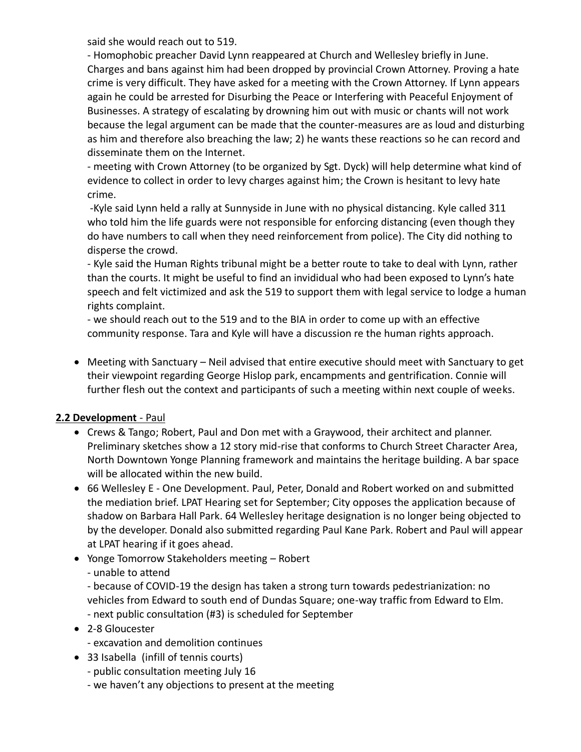said she would reach out to 519.

- Homophobic preacher David Lynn reappeared at Church and Wellesley briefly in June. Charges and bans against him had been dropped by provincial Crown Attorney. Proving a hate crime is very difficult. They have asked for a meeting with the Crown Attorney. If Lynn appears again he could be arrested for Disurbing the Peace or Interfering with Peaceful Enjoyment of Businesses. A strategy of escalating by drowning him out with music or chants will not work because the legal argument can be made that the counter-measures are as loud and disturbing as him and therefore also breaching the law; 2) he wants these reactions so he can record and disseminate them on the Internet.

- meeting with Crown Attorney (to be organized by Sgt. Dyck) will help determine what kind of evidence to collect in order to levy charges against him; the Crown is hesitant to levy hate crime.

-Kyle said Lynn held a rally at Sunnyside in June with no physical distancing. Kyle called 311 who told him the life guards were not responsible for enforcing distancing (even though they do have numbers to call when they need reinforcement from police). The City did nothing to disperse the crowd.

- Kyle said the Human Rights tribunal might be a better route to take to deal with Lynn, rather than the courts. It might be useful to find an invididual who had been exposed to Lynn's hate speech and felt victimized and ask the 519 to support them with legal service to lodge a human rights complaint.

- we should reach out to the 519 and to the BIA in order to come up with an effective community response. Tara and Kyle will have a discussion re the human rights approach.

• Meeting with Sanctuary – Neil advised that entire executive should meet with Sanctuary to get their viewpoint regarding George Hislop park, encampments and gentrification. Connie will further flesh out the context and participants of such a meeting within next couple of weeks.

### **2.2 Development** - Paul

- Crews & Tango; Robert, Paul and Don met with a Graywood, their architect and planner. Preliminary sketches show a 12 story mid-rise that conforms to Church Street Character Area, North Downtown Yonge Planning framework and maintains the heritage building. A bar space will be allocated within the new build.
- 66 Wellesley E One Development. Paul, Peter, Donald and Robert worked on and submitted the mediation brief. LPAT Hearing set for September; City opposes the application because of shadow on Barbara Hall Park. 64 Wellesley heritage designation is no longer being objected to by the developer. Donald also submitted regarding Paul Kane Park. Robert and Paul will appear at LPAT hearing if it goes ahead.
- Yonge Tomorrow Stakeholders meeting Robert
	- unable to attend

- because of COVID-19 the design has taken a strong turn towards pedestrianization: no vehicles from Edward to south end of Dundas Square; one-way traffic from Edward to Elm.

- next public consultation (#3) is scheduled for September
- 2-8 Gloucester
	- excavation and demolition continues
- 33 Isabella (infill of tennis courts)
	- public consultation meeting July 16
	- we haven't any objections to present at the meeting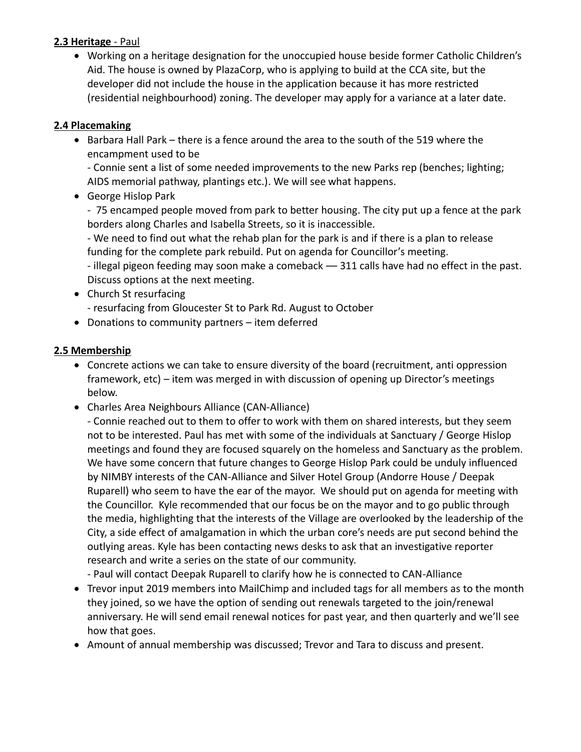## **2.3 Heritage** - Paul

• Working on a heritage designation for the unoccupied house beside former Catholic Children's Aid. The house is owned by PlazaCorp, who is applying to build at the CCA site, but the developer did not include the house in the application because it has more restricted (residential neighbourhood) zoning. The developer may apply for a variance at a later date.

## **2.4 Placemaking**

• Barbara Hall Park – there is a fence around the area to the south of the 519 where the encampment used to be

- Connie sent a list of some needed improvements to the new Parks rep (benches; lighting; AIDS memorial pathway, plantings etc.). We will see what happens.

• George Hislop Park

- 75 encamped people moved from park to better housing. The city put up a fence at the park borders along Charles and Isabella Streets, so it is inaccessible.

- We need to find out what the rehab plan for the park is and if there is a plan to release funding for the complete park rebuild. Put on agenda for Councillor's meeting.

- illegal pigeon feeding may soon make a comeback - 311 calls have had no effect in the past. Discuss options at the next meeting.

• Church St resurfacing

- resurfacing from Gloucester St to Park Rd. August to October

• Donations to community partners – item deferred

## **2.5 Membership**

- Concrete actions we can take to ensure diversity of the board (recruitment, anti oppression framework, etc) – item was merged in with discussion of opening up Director's meetings below.
- Charles Area Neighbours Alliance (CAN-Alliance)

- Connie reached out to them to offer to work with them on shared interests, but they seem not to be interested. Paul has met with some of the individuals at Sanctuary / George Hislop meetings and found they are focused squarely on the homeless and Sanctuary as the problem. We have some concern that future changes to George Hislop Park could be unduly influenced by NIMBY interests of the CAN-Alliance and Silver Hotel Group (Andorre House / Deepak Ruparell) who seem to have the ear of the mayor. We should put on agenda for meeting with the Councillor. Kyle recommended that our focus be on the mayor and to go public through the media, highlighting that the interests of the Village are overlooked by the leadership of the City, a side effect of amalgamation in which the urban core's needs are put second behind the outlying areas. Kyle has been contacting news desks to ask that an investigative reporter research and write a series on the state of our community.

- Paul will contact Deepak Ruparell to clarify how he is connected to CAN-Alliance

- Trevor input 2019 members into MailChimp and included tags for all members as to the month they joined, so we have the option of sending out renewals targeted to the join/renewal anniversary. He will send email renewal notices for past year, and then quarterly and we'll see how that goes.
- Amount of annual membership was discussed; Trevor and Tara to discuss and present.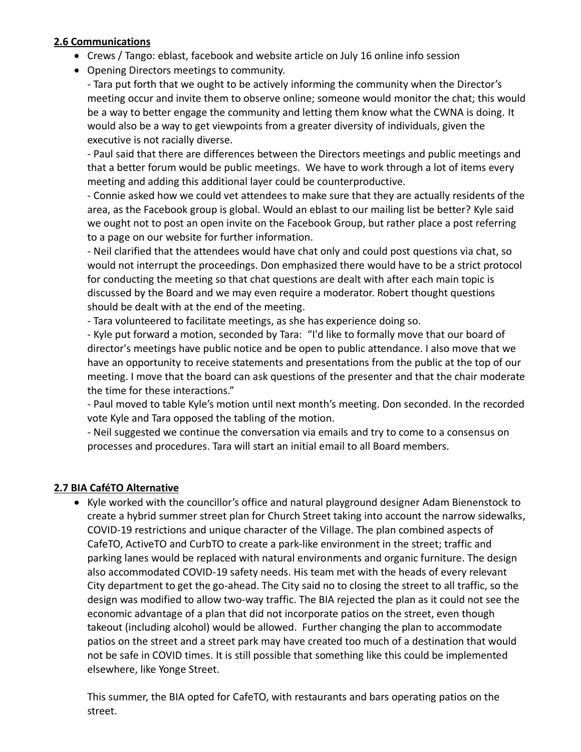### **2.6 Communications**

- Crews / Tango: eblast, facebook and website article on July 16 online info session
- Opening Directors meetings to community.

- Tara put forth that we ought to be actively informing the community when the Director's meeting occur and invite them to observe online; someone would monitor the chat; this would be a way to better engage the community and letting them know what the CWNA is doing. It would also be a way to get viewpoints from a greater diversity of individuals, given the executive is not racially diverse.

- Paul said that there are differences between the Directors meetings and public meetings and that a better forum would be public meetings. We have to work through a lot of items every meeting and adding this additional layer could be counterproductive.

- Connie asked how we could vet attendees to make sure that they are actually residents of the area, as the Facebook group is global. Would an eblast to our mailing list be better? Kyle said we ought not to post an open invite on the Facebook Group, but rather place a post referring to a page on our website for further information.

- Neil clarified that the attendees would have chat only and could post questions via chat, so would not interrupt the proceedings. Don emphasized there would have to be a strict protocol for conducting the meeting so that chat questions are dealt with after each main topic is discussed by the Board and we may even require a moderator. Robert thought questions should be dealt with at the end of the meeting.

- Tara volunteered to facilitate meetings, as she has experience doing so.

- Kyle put forward a motion, seconded by Tara: "I'd like to formally move that our board of director's meetings have public notice and be open to public attendance. I also move that we have an opportunity to receive statements and presentations from the public at the top of our meeting. I move that the board can ask questions of the presenter and that the chair moderate the time for these interactions."

- Paul moved to table Kyle's motion until next month's meeting. Don seconded. In the recorded vote Kyle and Tara opposed the tabling of the motion.

- Neil suggested we continue the conversation via emails and try to come to a consensus on processes and procedures. Tara will start an initial email to all Board members.

### **2.7 BIA CaféTO Alternative**

• Kyle worked with the councillor's office and natural playground designer Adam Bienenstock to create a hybrid summer street plan for Church Street taking into account the narrow sidewalks, COVID-19 restrictions and unique character of the Village. The plan combined aspects of CafeTO, ActiveTO and CurbTO to create a park-like environment in the street; traffic and parking lanes would be replaced with natural environments and organic furniture. The design also accommodated COVID-19 safety needs. His team met with the heads of every relevant City department to get the go-ahead. The City said no to closing the street to all traffic, so the design was modified to allow two-way traffic. The BIA rejected the plan as it could not see the economic advantage of a plan that did not incorporate patios on the street, even though takeout (including alcohol) would be allowed. Further changing the plan to accommodate patios on the street and a street park may have created too much of a destination that would not be safe in COVID times. It is still possible that something like this could be implemented elsewhere, like Yonge Street.

This summer, the BIA opted for CafeTO, with restaurants and bars operating patios on the street.